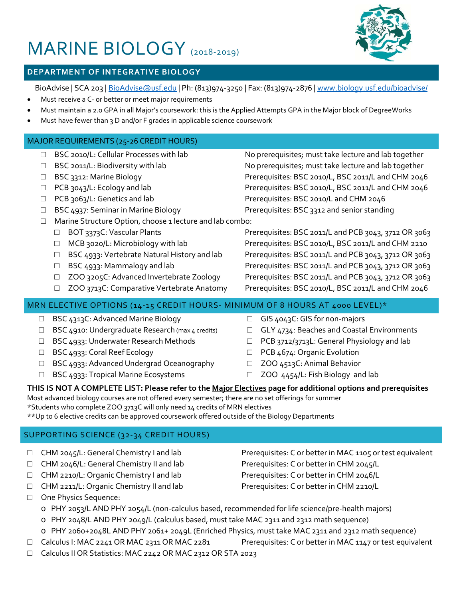# MARINE BIOLOGY (2018-2019)



# **DEPARTMENT OF INTEGRATIVE BIOLOGY**

BioAdvise | SCA 203 [| BioAdvise@usf.edu](mailto:BioAdvise@usf.edu) | Ph: (813)974-3250 | Fax: (813)974-2876 | [www.biology.usf.edu/bioadvise/](http://www.biology.usf.edu/bioadvise/)

- Must receive a C- or better or meet major requirements
- Must maintain a 2.0 GPA in all Major's coursework: this is the Applied Attempts GPA in the Major block of DegreeWorks
- Must have fewer than 3 D and/or F grades in applicable science coursework

#### MAJOR REQUIREMENTS (25-26 CREDIT HOURS)

- 
- 
- 
- 
- 
- 
- □ Marine Structure Option, choose 1 lecture and lab combo:
	-
	-
	-
	-
	-
	-

□ BSC 2010/L: Cellular Processes with lab No prerequisites; must take lecture and lab together □ BSC 2011/L: Biodiversity with lab No prerequisites; must take lecture and lab together □ BSC 3312: Marine Biology Prerequisites: BSC 2010/L, BSC 2011/L and CHM 2046 □ PCB 3043/L: Ecology and lab Prerequisites: BSC 2010/L, BSC 2011/L and CHM 2046 □ PCB 3063/L: Genetics and lab Prerequisites: BSC 2010/L and CHM 2046

□ BSC 4937: Seminar in Marine Biology Prerequisites: BSC 3312 and senior standing

□ BOT 3373C: Vascular Plants Prerequisites: BSC 2011/L and PCB 3043, 3712 OR 3063 □ MCB 3020/L: Microbiology with lab Prerequisites: BSC 2010/L, BSC 2011/L and CHM 2210 □ BSC 4933: Vertebrate Natural History and lab Prerequisites: BSC 2011/L and PCB 3043, 3712 OR 3063 □ BSC 4933: Mammalogy and lab Prerequisites: BSC 2011/L and PCB 3043, 3712 OR 3063 □ ZOO 3205C: Advanced Invertebrate Zoology Prerequisites: BSC 2011/L and PCB 3043, 3712 OR 3063 □ ZOO 3713C: Comparative Vertebrate Anatomy Prerequisites: BSC 2010/L, BSC 2011/L and CHM 2046

## MRN ELECTIVE OPTIONS (14-15 CREDIT HOURS- MINIMUM OF 8 HOURS AT 4000 LEVEL)\*

- □ BSC 4313C: Advanced Marine Biology
- □ BSC 4910: Undergraduate Research (max 4 credits)
- □ BSC 4933: Underwater Research Methods
- □ BSC 4933: Coral Reef Ecology
- □ BSC 4933: Advanced Undergrad Oceanography
- □ BSC 4933: Tropical Marine Ecosystems
- □ GIS 4043C: GIS for non-majors
- □ GLY 4734: Beaches and Coastal Environments
- □ PCB 3712/3713L: General Physiology and lab
- □ PCB 4674: Organic Evolution
- □ ZOO 4513C: Animal Behavior
- □ ZOO 4454/L: Fish Biology and lab

## **THIS IS NOT A COMPLETE LIST: Please refer to the Major Electives page for additional options and prerequisites**

Most advanced biology courses are not offered every semester; there are no set offerings for summer \*Students who complete ZOO 3713C will only need 14 credits of MRN electives

\*\*Up to 6 elective credits can be approved coursework offered outside of the Biology Departments

# SUPPORTING SCIENCE (32-34 CREDIT HOURS)

- □ CHM 2045/L: General Chemistry I and lab Prerequisites: C or better in MAC 1105 or test equivalent
- □ CHM 2046/L: General Chemistry II and lab Prerequisites: C or better in CHM 2045/L
- □ CHM 2210/L: Organic Chemistry I and lab Prerequisites: C or better in CHM 2046/L
- □ CHM 2211/L: Organic Chemistry II and lab Prerequisites: C or better in CHM 2210/L
- □ One Physics Sequence:
	- o PHY 2053/L AND PHY 2054/L (non-calculus based, recommended for life science/pre-health majors)
	- o PHY 2048/L AND PHY 2049/L (calculus based, must take MAC 2311 and 2312 math sequence)
	- o PHY 2060+2048L AND PHY 2061+ 2049L (Enriched Physics, must take MAC 2311 and 2312 math sequence)
- $\Box$  Calculus I: MAC 2241 OR MAC 2311 OR MAC 2281 Prerequisites: C or better in MAC 1147 or test equivalent
- □ Calculus II OR Statistics: MAC 2242 OR MAC 2312 OR STA 2023
-